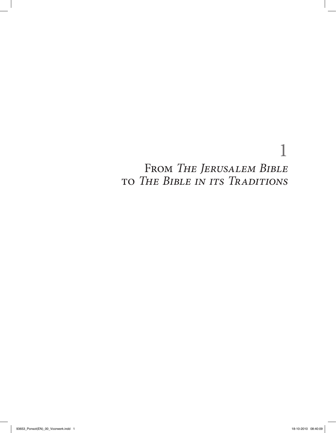# 1

## From *The Jerusalem Bible*  to *The Bible in its Traditions*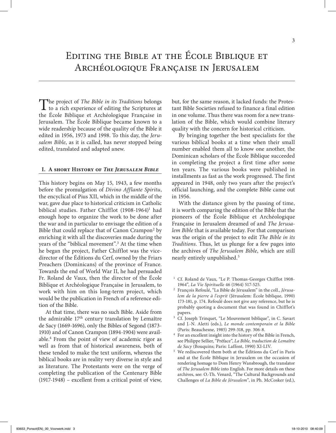## Editing the Bible at the École Biblique et Archéologique Française in Jerusalem

The project of *The Bible in its Traditions* belongs  $\perp$  to a rich experience of editing the Scriptures at the École Biblique et Archéologique Française in Jerusalem. The École Biblique became known to a wide readership because of the quality of the Bible it edited in 1956, 1973 and 1998. To this day, the *Jerusalem Bible*, as it is called, has never stopped being edited, translated and adapted anew.

### **I. A short History of** *The Jerusalem Bible*

This history begins on May 15, 1943, a few months before the promulgation of *Divino Afflante Spiritu*, the encyclical of Pius XII, which in the middle of the war, gave due place to historical criticism in Catholic biblical studies. Father Chifflot (1908-1964)<sup>1</sup> had enough hope to organize the work to be done after the war and in particular to envisage the edition of a Bible that could replace that of Canon Crampon<sup>2</sup> by enriching it with all the discoveries made during the years of the "biblical movement".3 At the time when he began the project, Father Chifflot was the vicedirector of the Éditions du Cerf, owned by the Friars Preachers (Dominicans) of the province of France. Towards the end of World War II, he had persuaded Fr. Roland de Vaux, then the director of the École Biblique et Archéologique Française in Jerusalem, to work with him on this long-term project, which would be the publication in French of a reference edition of the Bible.

At that time, there was no such Bible. Aside from the admirable 17<sup>th</sup> century translation by Lemaître de Sacy (1669-1696), only the Bibles of Segond (1873- 1910) and of Canon Crampon (1894-1904) were available.4 From the point of view of academic rigor as well as from that of historical awareness, both of these tended to make the text uniform, whereas the biblical books are in reality very diverse in style and as literature. The Protestants were on the verge of completing the publication of the Centenary Bible (1917-1948) – excellent from a critical point of view,

but, for the same reason, it lacked funds: the Protestant Bible Societies refused to finance a final edition in one volume. Thus there was room for a new translation of the Bible, which would combine literary quality with the concern for historical criticism.

By bringing together the best specialists for the various biblical books at a time when their small number enabled them all to know one another, the Dominican scholars of the École Biblique succeeded in completing the project a first time after some ten years. The various books were published in installments as fast as the work progressed. The first appeared in 1948, only two years after the project's official launching, and the complete Bible came out in 1956.

With the distance given by the passing of time, it is worth comparing the edition of the Bible that the pioneers of the École Biblique et Archéologique Française in Jerusalem dreamed of and *The Jerusalem Bible* that is available today. For that comparison was the origin of the project to edit *The Bible in its Traditions*. Thus, let us plunge for a few pages into the archives of *The Jerusalem Bible*, which are still nearly entirely unpublished.5

- <sup>1</sup> Cf. Roland de Vaux, "Le P. Thomas-Georges Chifflot 1908-1964", *La Vie Spirituelle* 46 (1964) 517-525.
- <sup>2</sup> François Refoulé, "La Bible de Jérusalem" in the coll., *Jérusalem de la pierre à l'esprit* (Jérusalem: École biblique, 1990) 173-181, p. 174. Refoulé does not give any reference, but he is probably quoting a document that was found in Chifflot's papers.
- <sup>3</sup> Cf. Joseph Trinquet, "Le Mouvement biblique", in C. Savart and J.-N. Aletti (eds.), *Le monde contemporain et la Bible*  (Paris: Beauchesne, 1985) 299-318, pp. 306-8.
- <sup>4</sup> For an excellent insight into the history of the Bible in French, see Philippe Sellier, "Préface", *La Bible, traduction de Lemaître de Sacy* (Bouquins; Paris: Laffont, 1990) XI-LIV.
- <sup>5</sup> We rediscovered them both at the Éditions du Cerf in Paris and at the École Biblique in Jerusalem on the occasion of rendering homage to Dom Henry Wansbrough, the translator of *The Jerusalem Bible* into English. For more details on these archives, see: O.-Th. Venard, "The Cultural Backgrounds and Challenges of *La Bible de Jérusalem*", in Ph. McCosker (ed.),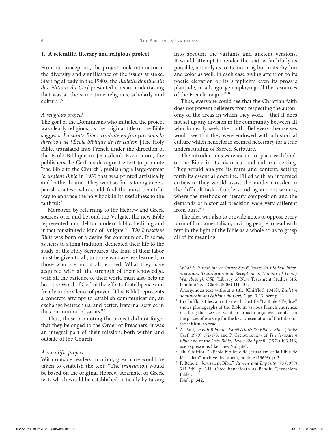#### **1. A scientific, literary and religious project**

From its conception, the project took into account the diversity and significance of the issues at stake. Starting already in the 1940s, the *Bulletin dominicain des éditions du Cerf* presented it as an undertaking that was at the same time religious, scholarly and cultural.6

## *A religious project*

The goal of the Dominicans who initiated the project was clearly religious, as the original title of the Bible suggests: *La sainte Bible, traduite en français sous la direction de l'École biblique de Jérusalem* [The Holy Bible, translated into French under the direction of the École Biblique in Jerusalem]. Even more, the publishers, Le Cerf, made a great effort to promote "the Bible to the Church", publishing a large-format *Jerusalem Bible* in 1959 that was printed artistically and leather bound. They went so far as to organize a parish contest: who could find the most beautiful way to enhance the holy book in its usefulness to the faithful?7

Moreover, by returning to the Hebrew and Greek sources over and beyond the Vulgate, the new Bible represented a model for modern biblical editing and in fact constituted a kind of "vulgate".8 "*The Jerusalem Bible* was born of a desire for communion. If some, as heirs to a long tradition, dedicated their life to the study of the Holy Scriptures, the fruit of their labor must be given to all, to those who are less learned, to those who are not at all learned. What they have acquired with all the strength of their knowledge, with all the patience of their work, must also help us hear the Word of God in the effort of intelligence and finally in the silence of prayer. [This Bible] represents a concrete attempt to establish communication, an exchange between us, and better, fraternal service in the communion of saints."9

Thus, those promoting the project did not forget that they belonged to the Order of Preachers; it was an integral part of their mission, both within and outside of the Church.

#### *A scientific project*

With outside readers in mind, great care would be taken to establish the text: "The *translation* would be based on the original Hebrew, Aramaic, or Greek text, which would be established critically by taking into account the variants and ancient versions. It would attempt to render the text as faithfully as possible, not only as to its meaning but in its rhythm and color as well, in each case giving attention to its poetic elevation or its simplicity, even its prosaic platitude, in a language employing all the resources of the French tongue."10

Thus, everyone could see that the Christian faith does not prevent believers from respecting the autonomy of the areas in which they work – that it does not set up any division in the community between all who honestly seek the truth. Believers themselves would see that they were endowed with a historical culture which henceforth seemed necessary for a true understanding of Sacred Scripture.

The introductions were meant to "place each book of the Bible in its historical and cultural setting. They would analyze its form and content, setting forth its essential doctrine. Filled with an informed criticism, they would assist the modern reader in the difficult task of understanding ancient writers, where the methods of literary composition and the demands of historical precision were very different from ours<sup>"11</sup>

The idea was also to provide notes to oppose every form of fundamentalism, inviting people to read each text in the light of the Bible as a whole so as to grasp all of its meaning.

*What is it that the Scripture Says? Essays in Biblical Interpretation, Translation and Reception in Honour of Henry Wansbrough OSB* (Library of New Testament Studies 316; London: T&T Clark, 2006) 111-134.

- <sup>6</sup> Anonymous text without a title [Chifflot? 1948?], *Bulletin dominicain des éditions du Cerf*, 7, pp. 9-13, here p. 11.
- <sup>7</sup> In Chifflot's files, a treatise with the title "La Bible à l'église" shows photographs of the Bible in various French churches, recalling that Le Cerf went so far as to organize a contest in the places of worship for the best presentation of the Bible for the faithful to read.
- <sup>8</sup> A. Paul, *Le Fait Biblique: Israël éclaté: De Bible à Bible* (Paris: Cerf, 1979) 172-173, and P. Grelot, review of *The Jerusalem Bible* and of the *Osty Bible*, *Revue Biblique* 81 (1974) 103-116, use expressions like "new Vulgate".
- <sup>9</sup> Th. Chifflot, "L'École biblique de Jérusalem et la Bible de Jérusalem", archive document, no date (1960?), p. 3.
- <sup>10</sup> P. Benoit, "Jerusalem Bible", *Review and Expositor* 76 (1979) 341-349, p. 341. Cited henceforth as Benoit, "Jerusalem Bible".
- <sup>11</sup> *Ibid*., p. 342.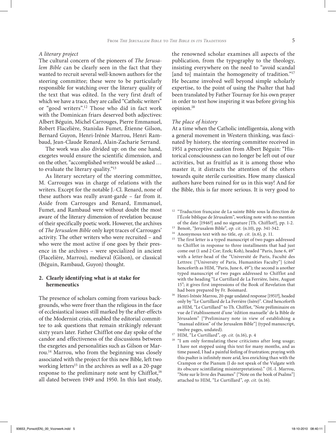## *A literary project*

The cultural concern of the pioneers of *The Jerusalem Bible* can be clearly seen in the fact that they wanted to recruit several well-known authors for the steering committee; these were to be particularly responsible for watching over the literary quality of the text that was edited. In the very first draft of which we have a trace, they are called "Catholic writers" or "good writers".12 Those who did in fact work with the Dominican friars deserved both adjectives: Albert Béguin, Michel Carrouges, Pierre Emmanuel, Robert Flacelière, Stanislas Fumet, Étienne Gilson, Bernard Guyon, Henri-Irénée Marrou, Henri Rambaud, Jean-Claude Renard, Alain-Zacharie Serrand.

The work was also divided up: on the one hand, exegetes would ensure the scientific dimension, and on the other, "accomplished writers would be asked … to evaluate the literary quality."13

As literary secretary of the steering committee, M. Carrouges was in charge of relations with the writers. Except for the notable J.-Cl. Renard, none of these authors was really avant-garde – far from it. Aside from Carrouges and Renard, Emmanuel, Fumet, and Rambaud were without doubt the most aware of the literary dimension of revelation because of their specifically poetic work. However, the archives of *The Jerusalem Bible* only kept traces of Carrouges' activity. The other writers who were recruited – and who were the most active if one goes by their presence in the archives – were specialized in ancient (Flacelière, Marrou), medieval (Gilson), or classical (Béguin, Rambaud, Guyon) thought.

## **2. Clearly identifying what is at stake for hermeneutics**

The presence of scholars coming from various backgrounds, who were freer than the religious in the face of ecclesiastical issues still marked by the after-effects of the Modernist crisis, enabled the editorial committee to ask questions that remain strikingly relevant sixty years later. Father Chifflot one day spoke of the candor and effectiveness of the discussions between the exegetes and personalities such as Gilson or Marrou.14 Marrou, who from the beginning was closely associated with the project for this new Bible, left two working letters<sup>15</sup> in the archives as well as a 20-page response to the preliminary note sent by Chifflot,<sup>16</sup> all dated between 1949 and 1950. In this last study,

the renowned scholar examines all aspects of the publication, from the typography to the theology, insisting everywhere on the need to "avoid scandal [and to] maintain the homogeneity of tradition."<sup>17</sup> He became involved well beyond simple scholarly expertise, to the point of using the Psalter that had been translated by Father Tournay for his own prayer in order to test how inspiring it was before giving his opinion.18

## *The place of history*

At a time when the Catholic intelligentsia, along with a general movement in Western thinking, was fascinated by history, the steering committee received in 1951 a perceptive caution from Albert Béguin: "Historical consciousness can no longer be left out of our activities, but as fruitful as it is among those who master it, it distracts the attention of the others towards quite sterile curiosities. How many classical authors have been ruined for us in this way! And for the Bible, this is far more serious. It is very good to

- <sup>13</sup> Benoit, "Jerusalem Bible", *op. cit.* (n.10), pp. 341-342.
- <sup>14</sup> Anonymous text with no title, *op. cit.* (n.6), p. 11.
- <sup>15</sup> The first letter is a typed manuscript of two pages addressed to Chifflot in response to three installments that had just come out (1 and 2 Cor; Ezek; Koh), headed "Paris, June 6, 49" with a letter-head of the "Université de Paris, Faculté des Lettres: ["University of Paris, Humanities Faculty"] (cited henceforth as HIM, "Paris, June 6, 49"); the second is another typed manuscript of two pages addressed to Chifflot and with the heading "Le Curtillard de La Ferrière, Isère, August 15"; it gives first impressions of the Book of Revelation that had been prepared by Fr. Boismard.
- 16 Henri-Irénée Marrou, 20-page undated response [1951?], headed only by "Le Curtillard de La Ferrière (Isère)". Cited henceforth as HIM, "Le Curtillard" to Th. Chifflot, "Note préliminaire en vue de l'établissement d'une 'édition manuelle' de la Bible de Jérusalem" ["Preliminary note in view of establishing a "manual edition" of the Jerusalem Bible"] (typed manuscript, twelve pages, undated).
- <sup>17</sup> HIM,  $\sum_{i=1}^{n}$  Curtillard", *op. cit.* (n.16), p. 4
- "I am only formulating these criticisms after long usage; I have not stopped using this text for many months, and as time passed, I had a painful feeling of frustration; praying with this psalter is infinitely more arid, less enriching than with the Crampon or the Pianum (I do not speak of the Vulgate with its obscure scintillating misinterpretations)." (H.-I. Marrou, "Note sur le livre des Psaumes" ["Note on the book of Psalms"] attached to HIM, "Le Curtillard", *op. cit.* (n.16).

<sup>12</sup> "Traduction française de La sainte Bible sous la direction de l'École biblique de Jérusalem", working note with no mention of the date [1946?] and no signature [Th. Chifflot?], pp. 1-2.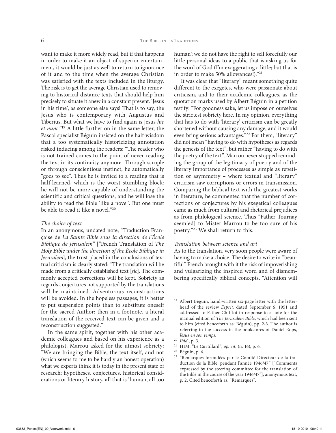want to make it more widely read, but if that happens in order to make it an object of superior entertainment, it would be just as well to return to ignorance of it and to the time when the average Christian was satisfied with the texts included in the liturgy. The risk is to get the average Christian used to removing to historical distance texts that should help him precisely to situate it anew in a constant present. 'Jesus in his time', as someone else says! That is to say, the Jesus who is contemporary with Augustus and Tiberius. But what we have to find again is Jesus *hic et nunc*."19 A little further on in the same letter, the Pascal specialist Béguin insisted on the half-wisdom that a too systematically historicizing annotation risked inducing among the readers: "The reader who is not trained comes to the point of never reading the text in its continuity anymore. Through scruple or through conscientious instinct, he automatically "goes to see". Thus he is invited to a reading that is half-learned, which is the worst stumbling block: he will not be more capable of understanding the scientific and critical questions, and he will lose the ability to read the Bible 'like a novel'. But one must be able to read it like a novel."20

#### *The choice of text*

In an anonymous, undated note, "Traduction Française de *La Sainte Bible sous la direction de l'École Biblique de Jérusalem"* ["French Translation of *The Holy Bible under the direction of the École Biblique in Jerusalem*], the trust placed in the conclusions of textual criticism is clearly stated: "The translation will be made from a critically established text [*sic*]. The commonly accepted corrections will be kept. Sobriety as regards conjectures not supported by the translations will be maintained. Adventurous reconstructions will be avoided. In the hopeless passages, it is better to put suspension points than to substitute oneself for the sacred Author; then in a footnote, a literal translation of the received text can be given and a reconstruction suggested."

In the same spirit, together with his other academic colleagues and based on his experience as a philologist, Marrou asked for the utmost sobriety: "We are bringing the Bible, the text itself, and not (which seems to me to be hardly an honest operation) what we experts think it is today in the present state of research; hypotheses, conjectures, historical considerations or literary history, all that is 'human, all too human'; we do not have the right to sell forcefully our little personal ideas to a public that is asking us for the word of God (I'm exaggerating a little; but that is in order to make 50% allowances!)."21

It was clear that "literary" meant something quite different to the exegetes, who were passionate about criticism, and to their academic colleagues, as the quotation marks used by Albert Béguin in a petition testify: "For goodness sake, let us impose on ourselves the strictest sobriety here. In my opinion, everything that has to do with 'literary' criticism can be greatly shortened without causing any damage, and it would even bring serious advantages."22 For them, "literary" did not mean "having to do with hypotheses as regards the genesis of the text", but rather "having to do with the poetry of the text". Marrou never stopped reminding the group of the legitimacy of poetry and of the literary importance of processes as simple as repetition or asymmetry – where textual and "literary" criticism saw corruptions or errors in transmission. Comparing the biblical text with the greatest works in literature, he commented that the number of corrections or conjectures by his exegetical colleagues came as much from cultural and rhetorical prejudices as from philological science. Thus "Father Tournay seem[ed] to Mister Marrou to be too sure of his poetry."23 We shall return to this.

## *Translation between science and art*

As to the translation, very soon people were aware of having to make a choice. The desire to write in "beautiful" French brought with it the risk of impoverishing and vulgarizing the inspired word and of dismembering specifically biblical concepts. "Attention will

<sup>&</sup>lt;sup>19</sup> Albert Béguin, hand-written six-page letter with the letterhead of the review *Esprit*, dated September 6, 1951 and addressed to Father Chifflot in response to a note for the manual edition of *The Jerusalem Bible*, which had been sent to him (cited henceforth as: Béguin), pp. 2-3. The author is referring to the success in the bookstores of Daniel-Rops, *Jésus en son temps*.

<sup>20</sup> *Ibid*., p. 3.

<sup>21</sup> HIM, "Le Curtillard", *op. cit.* (n. 16), p. 6.

<sup>22</sup> Béguin, p. 6.

<sup>23</sup> "Remarques formulées par le Comité Directeur de la traduction de la Bible, pendant l'année 1946/47" ["Comments expressed by the steering committee for the translation of the Bible in the course of the year 1946/47"], anonymous text, p. 2. Cited henceforth as: "Remarques".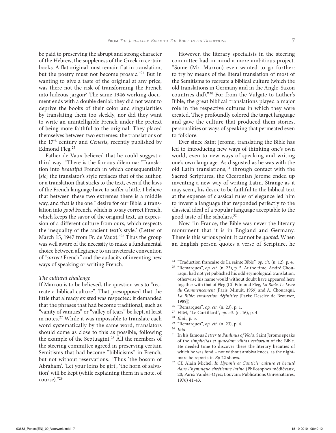be paid to preserving the abrupt and strong character of the Hebrew, the suppleness of the Greek in certain books. A flat original must remain flat in translation, but the poetry must not become prosaic."24 But in wanting to give a taste of the original at any price, was there not the risk of transforming the French into hideous jargon? The same 1946 working document ends with a double denial: they did not want to deprive the books of their color and singularities by translating them too sleekly, nor did they want to write an unintelligible French under the pretext of being more faithful to the original. They placed themselves between two extremes: the translations of the 17th century and *Genesis*, recently published by Edmond Fleg.25

Father de Vaux believed that he could suggest a third way. "There is the famous dilemma: 'Translation into *beautiful* French in which consequentially [sic] the translator's style replaces that of the author, or a translation that sticks to the text, even if the laws of the French language have to suffer a little. I believe that between these two extremes there is a middle way, and that is the one I desire for our Bible: a translation into *good* French, which is to say correct French, which keeps the savor of the original text, an expression of a different culture from ours, which respects the inequality of the ancient text's style.' (Letter of March 15, 1947 from Fr. de Vaux)."<sup>26</sup> Thus the group was well aware of the necessity to make a fundamental choice between allegiance to an inveterate convention of "*correct* French" and the audacity of inventing new ways of speaking or writing French.

## *The cultural challenge*

If Marrou is to be believed, the question was to "recreate a biblical culture". That presupposed that the little that already existed was respected: it demanded that the phrases that had become traditional, such as "vanity of vanities" or "valley of tears" be kept, at least in notes.27 While it was impossible to translate each word systematically by the same word, translators should come as close to this as possible, following the example of the Septuagint.<sup>28</sup> All the members of the steering committee agreed in preserving certain Semitisms that had become "biblicisms" in French, but not without reservations. "Thus 'the bosom of Abraham', 'Let your loins be girt', 'the horn of salvation' will be kept (while explaining them in a note, of course)."29

However, the literary specialists in the steering committee had in mind a more ambitious project. "Some (Mr. Marrou) even wanted to go further: to try by means of the literal translation of most of the Semitisms to recreate a biblical culture (which the old translations in Germany and in the Anglo-Saxon countries did)."30 For from the Vulgate to Luther's Bible, the great biblical translations played a major role in the respective cultures in which they were created. They profoundly colored the target language and gave the culture that produced them stories, personalities or ways of speaking that permeated even to folklore.

Ever since Saint Jerome, translating the Bible has led to introducing new ways of thinking one's own world, even to new ways of speaking and writing one's own language. As disgusted as he was with the old Latin translations,<sup>31</sup> through contact with the Sacred Scriptures, the Ciceronian Jerome ended up inventing a new way of writing Latin. Strange as it may seem, his desire to be faithful to the biblical text at the expense of classical rules of elegance led him to invent a language that responded perfectly to the classical ideal of a popular language acceptable to the good taste of the scholars.32

Now "in France, the Bible was never the literary monument that it is in England and Germany. There is this serious point: it cannot be *quoted*. When an English person quotes a verse of Scripture, he

- <sup>24</sup> "Traduction française de La sainte Bible", *op. cit.* (n. 12), p. 4.
- <sup>25</sup> "Remarques", *op. cit.* (n. 23), p. 5. At the time, André Chouraqui had not yet published his odd etymological translation, otherwise his name would without doubt have appeared here together with that of Fleg (Cf. Edmond Fleg, *La Bible. Le Livre du Commencement* [Paris: Minuit, 1959] and A. Chouraqui, *La Bible: traduction définitive* [Paris: Desclée de Brouwer, 1989]).
- <sup>26</sup> "Remarques", *op. cit.* (n. 23), p. 1.
- 27 HIM, "Le Curtillard", *op. cit.* (n. 16), p. 4.
- <sup>28</sup> *Ibid*., p. 5.
- <sup>29</sup> "Remarques", *op. cit.* (n. 23), p. 4.<br><sup>30</sup> Ibid
- $30$  *Ibid.*<br> $31$  **In b.**
- <sup>31</sup> In his famous *Letter to Paulinus of Nola*, Saint Jerome speaks of the *simplicitas et quaedam vilitas verborum* of the Bible. He needed time to discover there the literary beauties of which he was fond – not without ambivalences, as the nightmare he reports in *Ep* 22 shows.
- <sup>32</sup> Cf. Alain Michel, *In Hymnis et Canticis: culture et beauté dans l'hymnique chrétienne latine* (Philosophes médiévaux, 20; Paris: Vander-Oyez; Louvain: Publications Universitaires, 1976) 41-43.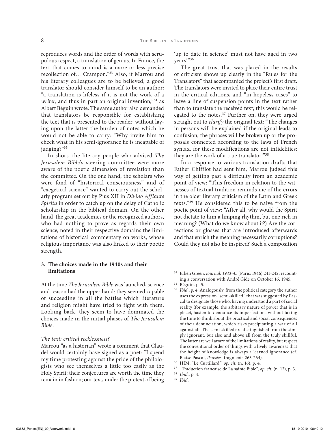reproduces words and the order of words with scrupulous respect, a translation of genius. In France, the text that comes to mind is a more or less precise recollection of… Crampon."33 Also, if Marrou and his literary colleagues are to be believed, a good translator should consider himself to be an author: "a translation is lifeless if it is not the work of a writer, and thus in part an original invention,"<sup>34</sup> as Albert Béguin wrote. The same author also demanded that translators be responsible for establishing the text that is presented to the reader, without laying upon the latter the burden of notes which he would not be able to carry: "Why invite him to check what in his semi-ignorance he is incapable of judging?"35

In short, the literary people who advised *The Jerusalem Bible*'s steering committee were more aware of the poetic dimension of revelation than the committee. On the one hand, the scholars who were fond of "historical consciousness" and of "exegetical science" wanted to carry out the scholarly program set out by Pius XII in *Divino Afflante Spiritu* in order to catch up on the delay of Catholic scholarship in the biblical domain. On the other hand, the great academics or the recognized authors, who had nothing to prove as regards their own science, noted in their respective domains the limitations of historical commentary on works, whose religious importance was also linked to their poetic strength.

## **3. The choices made in the 1940s and their limitations**

At the time *The Jerusalem Bible* was launched, science and reason had the upper hand: they seemed capable of succeeding in all the battles which literature and religion might have tried to fight with them. Looking back, they seem to have dominated the choices made in the initial phases of *The Jerusalem Bible*.

## *The text: critical recklessness?*

Marrou "as a historian" wrote a comment that Claudel would certainly have signed as a poet: "I spend my time protesting against the pride of the philologists who see themselves a little too easily as the Holy Spirit: their conjectures are worth the time they remain in fashion; our text, under the pretext of being

'up to date in science' must not have aged in two years!"36

The great trust that was placed in the results of criticism shows up clearly in the "Rules for the Translators" that accompanied the project's first draft. The translators were invited to place their entire trust in the critical editions, and "in hopeless cases" to leave a line of suspension points in the text rather than to translate the received text; this would be relegated to the notes.<sup>37</sup> Further on, they were urged straight out to *clarify* the original text: "The changes in persons will be explained if the original leads to confusion; the phrases will be broken up or the proposals connected according to the laws of French syntax, for these modifications are not infidelities; they are the work of a true translator!"38

In a response to various translation drafts that Father Chifflot had sent him, Marrou judged this way of getting past a difficulty from an academic point of view: "This freedom in relation to the witnesses of textual tradition reminds me of the errors in the older literary criticism of the Latin and Greek texts."39 He considered this to be naive from the poetic point of view: "After all, why would the Spirit not dictate to him a limping rhythm, but one rich in meaning? (What do we know about it?) Are the corrections or glosses that are introduced afterwards and that enrich the meaning necessarily corruptions? Could they not also be inspired? Such a composition

- <sup>33</sup> Julien Green, *Journal: 1943-45* (Paris: 1946) 241-242, recounting a conversation with André Gide on October 16, 1945.
- <sup>34</sup> Béguin, p. 5.
- <sup>35</sup> *Ibid.*, p. 4. Analogously, from the political category the author uses the expression "semi-skilled" that was suggested by Pascal to designate those who, having understood a part of social reality (for example, the arbitrary nature of power that is in place), hasten to denounce its imperfections without taking the time to think about the practical and social consequences of their denunciation, which risks precipitating a war of all against all. The semi-skilled are distinguished from the simply ignorant, but also and above all from the truly skillful. The latter are well aware of the limitations of reality, but respect the conventional order of things with a lively awareness that the height of knowledge is always a learned ignorance (cf. Blaise Pascal, *Pensées*, fragments 263-264).
- 36 HIM, "Le Curtillard", *op. cit.* (n. 16), p. 4.
- <sup>37</sup> "Traduction française de La sainte Bible", *op. cit.* (n. 12), p. 3.
- <sup>38</sup> *Ibid*., p. 4. <sup>39</sup> *Ibid*.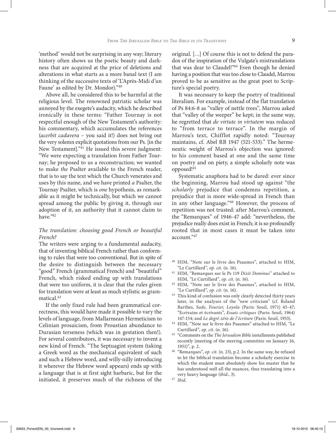'method' would not be surprising in any way; literary history often shows us the poetic beauty and darkness that are acquired at the price of deletions and alterations in what starts as a more banal text (I am thinking of the successive texts of 'L'Après-Midi d'un Faune' as edited by Dr. Mondor)."40

Above all, he considered this to be harmful at the religious level. The renowned patristic scholar was annoyed by the exegete's audacity, which he described ironically in these terms: "Father Tournay is not respectful enough of the New Testament's authority: his commentary, which accumulates the references (*acerbit cadavera –* you said it!) does not bring out the very solemn explicit quotations from our Ps. [in the New Testament]."41 He issued this severe judgment: "We were expecting a translation from Father Tournay; he proposed to us a reconstruction; we wanted to make *the* Psalter available to the French reader, that is to say the text which the Church venerates and uses by this name, and we have printed *a* Psalter, the Tournay Psalter, which is *one* hypothesis, as remarkable as it might be technically, but which we cannot spread among the public by giving it, through our adoption of it, an authority that it cannot claim to have."42

## *The translation: choosing good French or beautiful French?*

The writers were urging to a fundamental audacity, that of inventing biblical French rather than conforming to rules that were too conventional. But in spite of the desire to distinguish between the necessary "good" French (grammatical French) and "beautiful" French, which risked ending up with translations that were too uniform, it is clear that the rules given for translation were at least as much stylistic as grammatical.43

If the only fixed rule had been grammatical correctness, this would have made it possible to vary the levels of language, from Mallarmean Hermeticism to Celinian prosaicism, from Proustian abundance to Durasian terseness (which was in gestation then!). For several contributors, it was necessary to invent a new kind of French. "The Septuagint system (taking a Greek word as the mechanical equivalent of such and such a Hebrew word, and willy-nilly introducing it wherever the Hebrew word appears) ends up with a language that is at first sight barbaric, but for the initiated, it preserves much of the richness of the original. […] Of course this is not to defend the paradox of the inspiration of the Vulgate's mistranslations that was dear to Claudel!"<sup>44</sup> Even though he denied having a position that was too close to Claudel, Marrou proved to be as sensitive as the great poet to Scripture's special poetry.

It was necessary to keep the poetry of traditional literalism. For example, instead of the flat translation of Ps 84:6-8 as "valley of nettle trees", Marrou asked that "valley of the weeper" be kept; in the same way, he regretted that *de virtute in virtutem* was reduced to "from terrace to terrace". In the margin of Marrou's text, Chifflot rapidly noted: "Tournay maintains, cf. Abel RB 1947 (521-533)." The hermeneutic weight of Marrou's objection was ignored: to his comment based at one and the same time on poetry and on piety, a simple scholarly note was opposed!45

Systematic anaphora had to be dared: ever since the beginning, Marrou had stood up against "the *scholarly* prejudice that condemns repetition, a prejudice that is more wide-spread in French than in any other language."46 However, the process of repetition was not trusted: after Marrou's comment, the "Remarques" of 1946-47 add: "nevertheless, the prejudice really does exist in French; it is so profoundly rooted that in most cases it must be taken into account."47

- 40 HIM, "Note sur le livre des Psaumes", attached to HIM, "Le Curtillard", *op. cit.* (n. 16).
- 41 HIM, "Remarques sur le Ps 119 *Dixit Dominus*" attached to HIM, "Le Curtillard", *op. cit.* (n. 16).
- 42 HIM, "Note sur le livre des Psaumes", attached to HIM, "Le Curtillard", *op. cit.* (n. 16).
- <sup>43</sup> This kind of confusion was only clearly detected thirty years later, in the analyses of the "new criticism" (cf. Roland Barthes, *Sade, Fourier, Loyola* (Paris: Seuil, 1971) 45-47; "Ecrivains et écrivants", *Essais critiques* (Paris: Seuil, 1964) 147-154; and *Le degré zéro de l'écriture* (Paris: Seuil, 1953).
- 44 HIM, "Note sur le livre des Psaumes" attached to HIM, "Le Curtillard", *op. cit.* (n. 16).
- <sup>45</sup> "Comments on the *The Jerusalem Bible* installments published recently (meeting of the steering committee on January 16, 1951)", p. 2.
- <sup>46</sup> "Remarques", *op. cit.* (n. 23), p.2. In the same way, he refused to let the biblical translation become a scholarly exercise in which the student must absolutely show his master that he has understood well all the nuances, thus translating into a very heavy language (*ibid*., 3).
- <sup>47</sup> *Ibid.*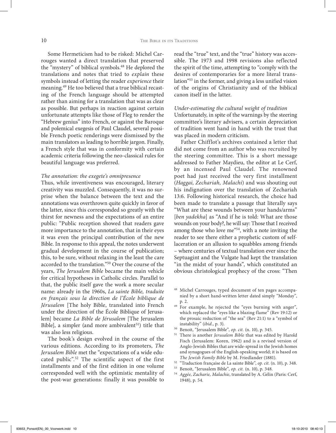Some Hermeticism had to be risked: Michel Carrouges wanted a direct translation that preserved the "mystery" of biblical symbols.<sup>48</sup> He deplored the translations and notes that tried to *explain* these symbols instead of letting the reader *experience* their meaning.49 He too believed that a true biblical recasting of the French language should be attempted rather than aiming for a translation that was as clear as possible. But perhaps in reaction against certain unfortunate attempts like those of Fleg to render the "Hebrew genius" into French, or against the Baroque and polemical exegesis of Paul Claudel, several possible French poetic renderings were dismissed by the main translators as leading to horrible jargon. Finally, a French style that was in conformity with certain academic criteria following the neo-classical rules for beautiful language was preferred.

## *The annotation: the exegete's omnipresence*

Thus, while inventiveness was encouraged, literary creativity was muzzled. Consequently, it was no surprise when the balance between the text and the annotations was overthrown quite quickly in favor of the latter, since this corresponded so greatly with the thirst for newness and the expectations of an entire public: "Public reception showed that readers gave more importance to the annotation, that in their eyes it was even the principal contribution of the new Bible. In response to this appeal, the notes underwent gradual development in the course of publication; this, to be sure, without relaxing in the least the care accorded to the translation."50 Over the course of the years, *The Jerusalem Bible* became the main vehicle for critical hypotheses in Catholic circles. Parallel to that, the public itself gave the work a more secular name: already in the 1960s, *La sainte Bible, traduite en français sous la direction de l'École biblique de Jérusalem* [The holy Bible, translated into French under the direction of the École Biblique of Jerusalem] became *La Bible de Jérusalem* [The Jerusalem Bible], a simpler (and more ambivalent $51$ ) title that was also less religious.

The book's design evolved in the course of the various editions. According to its promoters, *The Jerusalem Bible* met the "expectations of a wide educated public".52 The scientific aspect of the first installments and of the first edition in one volume corresponded well with the optimistic mentality of the post-war generations: finally it was possible to read the "true" text, and the "true" history was accessible. The 1973 and 1998 revisions also reflected the spirit of the time, attempting to "comply with the desires of contemporaries for a more literal translation"53 in the former, and giving a less unified vision of the origins of Christianity and of the biblical canon itself in the latter.

#### *Under-estimating the cultural weight of tradition*

Unfortunately, in spite of the warnings by the steering committee's literary advisers, a certain depreciation of tradition went hand in hand with the trust that was placed in modern criticism.

Father Chifflot's archives contained a letter that did not come from an author who was recruited by the steering committee. This is a short message addressed to Father Maydieu, the editor at Le Cerf, by an incensed Paul Claudel. The renowned poet had just received the very first installment (*Haggai, Zechariah, Malachi*) and was shouting out his indignation over the translation of Zechariah 13:6. Following historical research, the choice had been made to translate a passage that literally says "What are these wounds between your hands/arms" [*ben yadekha*] as "And if he is told: What are those wounds on your body?, he will say: Those that I received among those who love me"<sup>54</sup>, with a note inviting the reader to see there either a prophetic custom of selflaceration or an allusion to squabbles among friends – where centuries of textual translation ever since the Septuagint and the Vulgate had kept the translation "in the midst of your hands", which constituted an obvious christological prophecy of the cross: "Then

- <sup>49</sup> For example, he rejected the "eyes burning with anger", which replaced the "eyes like a blazing flame" (Rev 19:12) or the prosaic reduction of "the sea" (Rev 21:1) to a "symbol of instability" (*ibid*., p. 3).
- <sup>50</sup> Benoit, "Jerusalem Bible", *op. cit.* (n. 10), p. 345.
- <sup>51</sup> There is another *Jerusalem Bible* that was edited by Harold Fisch (Jerusalem: Koren, 1962) and is a revised version of Anglo-Jewish Bibles that are wide-spread in the Jewish homes and synagogues of the English-speaking world; it is based on *The Jewish Family Bible* by M. Friedlander (1881).
- <sup>52</sup> "Traduction française de La sainte Bible", *op. cit.* (n. 10), p. 348.
- <sup>53</sup> Benoit, "Jerusalem Bible", *op. cit.* (n. 10), p. 348.
- <sup>54</sup> *Aggée, Zacharie, Malachie*, translated by A. Gélin (Paris: Cerf, 1948), p. 54.

<sup>48</sup> Michel Carrouges, typed document of ten pages accompanied by a short hand-written letter dated simply "Monday", p. 2.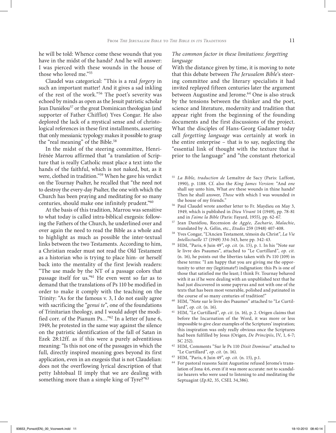he will be told: Whence come these wounds that you have in the midst of the hands? And he will answer: I was pierced with these wounds in the house of those who loved me."55

Claudel was categorical: "This is a real *forgery* in such an important matter! And it gives a sad inkling of the rest of the work."56 The poet's severity was echoed by minds as open as the Jesuit patristic scholar Jean Daniélou<sup>57</sup> or the great Dominican theologian (and supporter of Father Chifflot) Yves Congar. He also deplored the lack of a mystical sense and of christological references in these first installments, asserting that only messianic typology makes it possible to grasp the "real meaning" of the Bible.<sup>58</sup>

In the midst of the steering committee, Henri-Irénée Marrou affirmed that "a translation of Scripture that is really Catholic must place a text into the hands of the faithful, which is not naked, but, as it were, clothed in tradition."59 When he gave his verdict on the Tournay Psalter, he recalled that "the need not to destroy the every-day Psalter, the one with which the Church has been praying and meditating for so many centuries, should make one infinitely prudent."60

At the basis of this tradition, Marrou was sensitive to what today is called intra-biblical exegesis: following the Fathers of the Church, he underlined over and over again the need to read the Bible as a whole and to highlight as much as possible the inter-textual links between the two Testaments. According to him, a Christian reader must not read the Old Testament as a historian who is trying to place him- or herself back into the mentality of the first Jewish readers: "The use made by the NT of a passage colors that passage itself for us."61 He even went so far as to demand that the translations of Ps 110 be modified in order to make it comply with the teaching on the Trinity: "As for the famous v. 3, I do not easily agree with sacrificing the "*genui te*", one of the foundations of Trinitarian theology, and I would adopt the modified corr. of the Pianum Ps…"62 In a letter of June 6, 1949, he protested in the same way against the silence on the patristic identification of the fall of Satan in Ezek 28:12ff. as if this were a purely adventitious meaning: "Is this not one of the passages in which the full, directly inspired meaning goes beyond its first application, even in an exegesis that is not Claudelian: does not the overflowing lyrical description of that petty Ishtobaal II imply that we are dealing with something more than a simple king of Tyre?"<sup>63</sup>

## *The common factor in these limitations: forgetting language*

With the distance given by time, it is moving to note that this debate between *The Jerusalem Bible*'s steering committee and the literary specialists it had invited replayed fifteen centuries later the argument between Augustine and Jerome.<sup>64</sup> One is also struck by the tensions between the thinker and the poet, science and literature, modernity and tradition that appear right from the beginning of the founding documents and the first discussions of the project. What the disciples of Hans-Georg Gadamer today call *forgetting language* was certainly at work in the entire enterprise – that is to say, neglecting the "essential link of thought with the texture that is prior to the language" and "the constant rhetorical

- <sup>55</sup> *La Bible, traduction de* Lemaître de Sacy (Paris: Laffont, 1990), p. 1188. Cf. also the *King James Version*: "And *one*  shall say unto him, What *are* these wounds in thine hands? Then he shall answer, *Those* with which I was wounded *in*  the house of my friends."
- <sup>56</sup> Paul Claudel wrote another letter to Fr. Maydieu on May 3, 1949, which is published in *Dieu Vivant* 14 (1949), pp. 78-81 and in *J'aime la Bible* (Paris: Fayard, 1955), pp. 62-67.
- <sup>57</sup> Jean Daniélou, Recension de *Aggée, Zacharie, Malachie*, translated by A. Gélin, etc., *Etudes* 259 (1948) 407-408.
- <sup>58</sup> Yves Congar, "L'Ancien Testament, témoin du Christ", *La Vie Intellectuelle* 17 (1949) 334-343, here pp. 342-43.
- 59 HIM, "Paris, 6 Juin 49", *op. cit.* (n. 15), p. 1. In his "Note sur le livre des Psaumes", attached to "Le Curtillard", *op. cit.*  (n. 16), he points out the liberties taken with Ps 110 (109) in these terms: "I am happy that you are giving me the opportunity to utter my (legitimate?) indignation: this Ps is one of those that satisfied me the least; I think Fr. Tournay behaved with it as if he were dealing with an unpublished text that he had just discovered in some papyrus and not with one of the texts that has been most venerable, polished and patinated in the course of so many centuries of tradition!"
- 60 HIM, "Note sur le livre des Psaumes" attached to "Le Curtillard", *op. cit.* (n. 16).
- 61 HIM, "Le Curtillard", *op. cit.* (n. 16), p. 2. Origen claims that before the Incarnation of the Word, it was more or less impossible to give clear examples of the Scriptures' inspiration; this inspiration was only really obvious once the Scriptures had been fulfilled by Jesus (Origen, *De Principiis*, IV, 1, 6-7; SC 252).
- 62 HIM, Comments "Sur le Ps 110 *Dixit Dominus*" attached to "Le Curtillard", *op. cit.* (n. 16).
- 63 HIM, "Paris, 6 Juin 49", *op. cit.* (n. 15), p.1.
- <sup>64</sup> For pastoral reasons Saint Augustine refused Jerome's translation of Jona 4:6, even if it was more accurate: not to scandalize hearers who were used to listening to and meditating the Septuagint (*Ep.*82, 35, CSEL 34,386).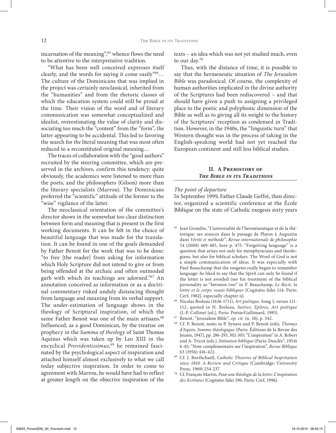incarnation of the meaning",<sup>65</sup> whence flows the need to be attentive to the interpretative tradition.

"What has been well conceived expresses itself clearly, and the words for saying it come easily"<sup>66</sup>... The culture of the Dominicans that was implied in the project was certainly neoclassical, inherited from the "humanities" and from the rhetoric classes of which the education system could still be proud at the time. Their vision of the word and of literary communication was somewhat conceptualized and idealist, overestimating the value of clarity and dissociating too much the "content" from the "form", the latter appearing to be accidental. This led to favoring the search for *the* literal meaning that was most often reduced to a reconstituted original meaning…

The traces of collaboration with the "good authors" recruited by the steering committee, which are preserved in the archives, confirm this tendency: quite obviously, the academics were listened to more than the poets, and the philosophers (Gilson) more than the literary specialists (Marrou). The Dominicans preferred the "scientific" attitude of the former to the "wise" vigilance of the latter.

The neoclassical orientation of the committee's director shows in the somewhat too clear distinction between form and meaning that is present in the first working documents. It can be felt in the choice of beautiful language that was made for the translation. It can be found in one of the goals demanded by Father Benoit for the work that was to be done: "to free [the reader] from asking for information which Holy Scripture did not intend to give or from being offended at the archaic and often outmoded garb with which its teachings are adorned."67 An annotation conceived as information or as a doctrinal commentary risked unduly distancing thought from language and meaning from its verbal support. The under-estimation of language shows in the theology of Scriptural inspiration, of which the same Father Benoit was one of the main artisans.<sup>68</sup> Influenced, as a good Dominican, by the treatise on prophecy in the *Summa of theology* of Saint Thomas Aquinas which was taken up by Leo XIII in the encyclical *Providentissimus*, 69 he remained fascinated by the psychological aspect of inspiration and attached himself almost exclusively to what we call today subjective inspiration. In order to come to agreement with Marrou, he would have had to reflect at greater length on the objective inspiration of the texts – an idea which was not yet studied much, even to our day.70

Thus, with the distance of time, it is possible to say that the hermeneutic situation of *The Jerusalem Bible* was paradoxical. Of course, the complexity of human authorities implicated in the divine authority of the Scriptures had been rediscovered – and that should have given a push to assigning a privileged place to the poetic and polyphonic dimension of the Bible as well as to giving all its weight to the history of the Scriptures' reception as condensed in Tradition. However, in the 1940s, the "linguistic turn" that Western thought was in the process of taking in the English-speaking world had not yet reached the European continent and still less biblical studies.

## **II. A Prehistory of** *The Bible in its Traditions*

## *The point of departure*

In September 1999, Father Claude Geffré, then director, organized a scientific conference at the École Biblique on the state of Catholic exegesis sixty years

- <sup>65</sup> Jean Grondin, "L'universalité de l'herméneutique et de la rhétorique: ses sources dans le passage de Platon à Augustin dans *Vérité et méthode*", *Revue internationale de philosophie*  54 (2000) 469-485, here p. 475. "Forgetting language" is a question that arises not only for metaphysicians and theologians, but also for biblical scholars. The Word of God is not a simple communication of ideas. It was especially with Paul Beauchamp that the exegetes really began to remember language: he liked to say that the Spirit can only be found if the letter is not avoided (see his treatment of the biblical personality as "between two" in P. Beauchamp, *Le Récit, la lettre et le corps: essais bibliques* [Cogitatio fidei 114; Paris: Cerf, 1982], especially chapter ii).
- 66 Nicolas Boileau (1636-1711), *Art poétique*, Song 1, verses 111- 112, quoted in N. Boileau, *Satires, Epîtres, Art poétique* (J.-P. Collinet [ed.], Paris: Poésie/Gallimard, 1985).
- <sup>67</sup> Benoit, "Jerusalem Bible", *op. cit.* (n. 10), p. 342.
- <sup>68</sup> Cf. P. Benoit, notes in P. Synave and P. Benoit (eds), *Thomas d'Aquin, Somme théologique* (Paris: Éditions de la Revue des Jeunes, 1947), pp. 286-293, 302-305; "L'inspiration" in A. Robert and A. Tricot (eds.), *Initiation biblique* (Paris: Desclée<sup>3</sup>, 1954) 6-45; "Note complémentaire sur l'inspiration", *Revue Biblique*  63 (1956) 416-422.
- <sup>69</sup> Cf. J. Burthchaell, *Catholic Theories of Biblical Inspritation since 1810: A Review and Critique* (Cambridge: University Press, 1969) 234-237.
- <sup>70</sup> Cf. François Martin, *Pour une théologie de la lettre: L'inspiration des Ecritures* (Cogitatio fidei 196; Paris: Cerf, 1996).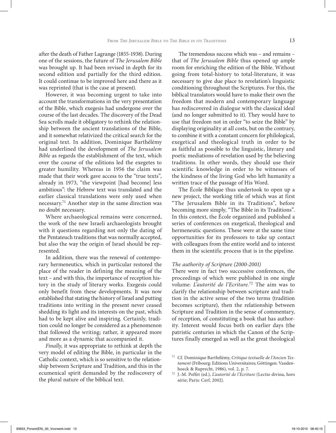after the death of Father Lagrange (1855-1938). During one of the sessions, the future of *The Jerusalem Bible*  was brought up. It had been revised in depth for its second edition and partially for the third edition. It could continue to be improved here and there as it was reprinted (that is the case at present).

However, it was becoming urgent to take into account the transformations in the very presentation of the Bible, which exegesis had undergone over the course of the last decades. The discovery of the Dead Sea scrolls made it obligatory to rethink the relationship between the ancient translations of the Bible, and it somewhat relativized the critical search for the original text. In addition, Dominique Barthélémy had underlined the development of *The Jerusalem Bible* as regards the establishment of the text, which over the course of the editions led the exegetes to greater humility. Whereas in 1956 the claim was made that their work gave access to the "true texts", already in 1973, "the viewpoint [had become] less ambitious": the Hebrew text was translated and the earlier classical translations were only used when necessary.71 Another step in the same direction was no doubt necessary.

Where archaeological remains were concerned, the work of the new Israeli archaeologists brought with it questions regarding not only the dating of the Pentateuch traditions that was normally accepted, but also the way the origin of Israel should be represented.

In addition, there was the renewal of contemporary hermeneutics, which in particular restored the place of the reader in defining the meaning of the text – and with this, the importance of reception history in the study of literary works. Exegesis could only benefit from these developments. It was now established that stating the history of Israel and putting traditions into writing in the present never ceased shedding its light and its interests on the past, which had to be kept alive and inspiring. Certainly, tradition could no longer be considered as a phenomenon that followed the writing; rather, it appeared more and more as a dynamic that accompanied it.

*Finally*, it was appropriate to rethink at depth the very model of editing the Bible, in particular in the Catholic context, which is so sensitive to the relationship between Scripture and Tradition, and this in the ecumenical spirit demanded by the rediscovery of the plural nature of the biblical text.

The tremendous success which was – and remains – that of *The Jerusalem Bible* thus opened up ample room for enriching the edition of the Bible. Without going from total-history to total-literature, it was necessary to give due place to revelation's linguistic conditioning throughout the Scriptures. For this, the biblical translators would have to make their own the freedom that modern and contemporary language has rediscovered in dialogue with the classical ideal (and no longer submitted to it). They would have to use that freedom not in order "to seize the Bible" by displaying originality at all costs, but on the contrary, to combine it with a constant concern for philological, exegetical and theological truth in order to be as faithful as possible to the linguistic, literary and poetic mediations of revelation used by the believing traditions. In other words, they should use their scientific knowledge in order to be witnesses of the kindness of the living God who left humanity a written trace of the passage of His Word.

The École Biblique thus undertook to open up a new project, the working title of which was at first "The Jerusalem Bible in its Traditions", before becoming more simply, "The Bible in its Traditions". In this context, the École organized and published a series of conferences on exegetical, theological and hermeneutic questions. These were at the same time opportunities for its professors to take up contact with colleagues from the entire world and to interest them in the scientific process that is in the pipeline.

## *The authority of Scripture (2000-2001)*

There were in fact two successive conferences, the proceedings of which were published in one single volume: *L'autorité de l'Ecriture.*<sup>72</sup> The aim was to clarify the relationship between scripture and tradition in the active sense of the two terms (tradition becomes scripture), then the relationship between Scripture and Tradition in the sense of commentary, of reception, of constituting a book that has authority. Interest would focus both on earlier days (the patristic centuries in which the Canon of the Scriptures finally emerged as well as the great theological

<sup>71</sup> Cf. Dominique Barthélémy, *Critique textuelle de l'Ancien Testament* (Fribourg: Editions Universitaires; Göttingen: Vandenhoeck & Ruprecht, 1986), vol. 2, p. 7.

<sup>72</sup> J.-M. Poffet (ed.), *L'autorité de l'Ecriture* (Lectio divina, hors série; Paris: Cerf, 2002).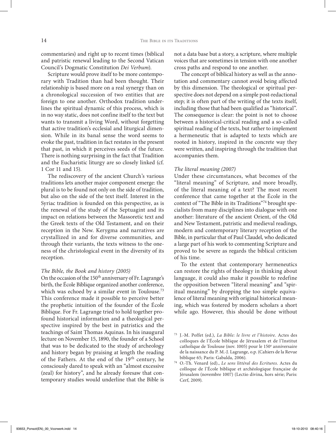commentaries) and right up to recent times (biblical and patristic renewal leading to the Second Vatican Council's Dogmatic Constitution *Dei Verbum*).

Scripture would prove itself to be more contemporary with Tradition than had been thought. Their relationship is based more on a real synergy than on a chronological succession of two entities that are foreign to one another. Orthodox tradition underlines the spiritual dynamic of this process, which is in no way static, does not confine itself to the text but wants to transmit a living Word, without forgetting that active tradition's ecclesial and liturgical dimension. While in its banal sense the word seems to evoke the past, tradition in fact restates in the present that past, in which it perceives seeds of the future. There is nothing surprising in the fact that Tradition and the Eucharistic liturgy are so closely linked (cf. 1 Cor 11 and 15).

The rediscovery of the ancient Church's various traditions lets another major component emerge: the plural is to be found not only on the side of tradition, but also on the side of the text itself. Interest in the Syriac tradition is founded on this perspective, as is the renewal of the study of the Septuagint and its impact on relations between the Massoretic text and the Greek texts of the Old Testament, and on their reception in the New. Kerygma and narratives are crystallized in and for diverse communities, and through their variants, the texts witness to the oneness of the christological event in the diversity of its reception.

## *The Bible, the Book and history (2005)*

On the occasion of the 150<sup>th</sup> anniversary of Fr. Lagrange's birth, the École Biblique organized another conference, which was echoed by a similar event in Toulouse.<sup>73</sup> This conference made it possible to perceive better the prophetic intuition of the founder of the École Biblique. For Fr. Lagrange tried to hold together profound historical information and a theological perspective inspired by the best in patristics and the teachings of Saint Thomas Aquinas. In his inaugural lecture on November 15, 1890, the founder of a School that was to be dedicated to the study of archeology and history began by praising at length the reading of the Fathers. At the end of the 19<sup>th</sup> century, he consciously dared to speak with an "almost excessive (zeal) for history", and he already foresaw that contemporary studies would underline that the Bible is not a data base but a story, a scripture, where multiple voices that are sometimes in tension with one another cross paths and respond to one another.

The concept of biblical history as well as the annotation and commentary cannot avoid being affected by this dimension. The theological or spiritual perspective does not depend on a simple post-redactional step; it is often part of the writing of the texts itself, including those that had been qualified as "historical". The consequence is clear: the point is not to choose between a historical-critical reading and a so-called spiritual reading of the texts, but rather to implement a hermeneutic that is adapted to texts which are rooted in history, inspired in the concrete way they were written, and inspiring through the tradition that accompanies them.

#### *The literal meaning (2007)*

Under these circumstances, what becomes of the "literal meaning" of Scripture, and more broadly, of the literal meaning of a text? The most recent conference that came together at the École in the context of "The Bible in its Traditions"74 brought specialists from many disciplines into dialogue with one another: literature of the ancient Orient, of the Old and New Testament, patristic and medieval readings, modern and contemporary literary reception of the Bible, in particular that of Paul Claudel, who dedicated a large part of his work to commenting Scripture and proved to be severe as regards the biblical criticism of his time.

To the extent that contemporary hermeneutics can restore the rights of theology in thinking about language, it could also make it possible to redefine the opposition between "literal meaning" and "spiritual meaning" by dropping the too simple equivalence of literal meaning with original historical meaning, which was fostered by modern scholars a short while ago. However, this should be done without

<sup>73</sup> J.-M. Poffet (ed.), *La Bible: le livre et l'histoire*. Actes des colloques de l'École biblique de Jérusalem et de l'Institut catholique de Toulouse (nov. 1005) pour le 150<sup>e</sup> anniversaire de la naissance du P. M.-J. Lagrange, o.p. (Cahiers de la Revue

<sup>&</sup>lt;sup>74</sup> O.-Th. Venard (ed)., *Le sens littéral des Ecritures*. Actes du colloque de l'École biblique et archéologique française de Jérusalem (novembre 1007) (Lectio divina, hors série; Paris: Cerf, 2009).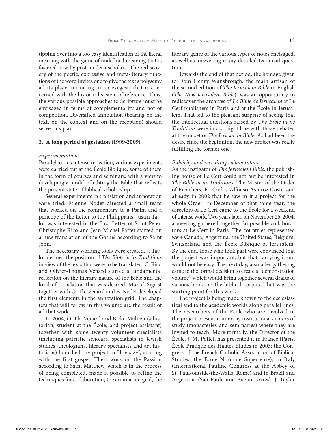tipping over into a too easy identification of the literal meaning with the game of undefined meaning that is fostered now by post-modern scholars. The rediscovery of the poetic, expressive and meta-literary functions of the word invites one to give the text's polysemy all its place, including in an exegesis that is concerned with the historical system of reference. Thus, the various possible approaches to Scripture must be envisaged in terms of complementarity and not of competition. Diversified annotation (bearing on the text, on the context and on the reception) should serve this plan.

## **2. A long period of gestation (1999-2009)**

## *Experimentation*

Parallel to this intense reflection, various experiments were carried out at the École Biblique, some of them in the form of courses and seminars, with a view to developing a model of editing the Bible that reflects the present state of biblical scholarship.

Several experiments in translation and annotation were tried. Etienne Nodet directed a small team that worked on the commentary to a Psalm and a pericope of the Letter to the Philippians. Justin Taylor was interested in the First Letter of Saint Peter. Christophe Rico and Jean-Michel Poffet started on a new translation of the Gospel according to Saint John.

The necessary working tools were created. J. Taylor defined the position of *The Bible in its Traditions*  in view of the texts that were to be translated. C. Rico and Olivier-Thomas Venard started a fundamental reflection on the literary nature of the Bible and the kind of translation that was desired. Marcel Sigrist together with O.-Th. Venard and E. Nodet developed the first elements in the annotation grid. The chapters that will follow in this volume are the result of all that work.

In 2004, O.-Th. Venard and Bieke Mahieu (a historian, student at the École, and project assistant) together with some twenty volunteer specialists (including patristic scholars, specialists in Jewish studies, theologians, literary specialists and art historians) launched the project in "life size", starting with the first gospel. Their work on the Passion according to Saint Matthew, which is in the process of being completed, made it possible to refine the techniques for collaboration, the annotation grid, the

literary genre of the various types of notes envisaged, as well as answering many detailed technical questions.

Towards the end of that period, the homage given to Dom Henry Wansbrough, the main artisan of the second edition of *The Jerusalem Bible* in English (*The New Jerusalem Bible*), was an opportunity to rediscover the archives of *La Bible de Jérusalem* at Le Cerf publishers in Paris and at the École in Jerusalem. That led to the pleasant surprise of seeing that the intellectual questions raised by *The Bible in its Traditions* were in a straight line with those debated at the outset of *The Jerusalem Bible*. As had been the desire since the beginning, the new project was really fulfilling the former one.

## *Publicity and recruiting collaborators*

As the instigator of *The Jerusalem Bible*, the publishing house of Le Cerf could not but be interested in *The Bible in its Traditions*. The Master of the Order of Preachers, Fr. Carlos Alfonso Aspiroz Costa said already in 2002 that he saw in it a project for the whole Order. In December of that same year, the directors of Le Cerf came to the École for a weekend of intense work. Two years later, on November 26, 2004, a meeting gathered together 26 possible collaborators at Le Cerf in Paris. The countries represented were Canada, Argentina, the United States, Belgium, Switzerland and the École Biblique of Jerusalem. By the end, those who took part were convinced that the project was important, but that carrying it out would not be easy. The next day, a smaller gathering came to the formal decision to create a "demonstration volume" which would bring together several drafts of various books in the biblical corpus. That was the starting point for this work.

The project is being made known to the ecclesiastical and to the academic worlds along parallel lines. The researchers of the École who are involved in the project present it in many institutional centers of study (monasteries and seminaries) where they are invited to teach. More formally, the Director of the École, J.-M. Poffet, has presented it in France (Paris, École Pratique des Hautes Etudes in 2003; the Congress of the French Catholic Association of Biblical Studies; the École Normale Supérieure), in Italy (International Pauline Congress at the Abbey of St. Paul-outside-the-Walls, Rome) and in Brazil and Argentina (Sao Paulo and Buenos Aires). J. Taylor